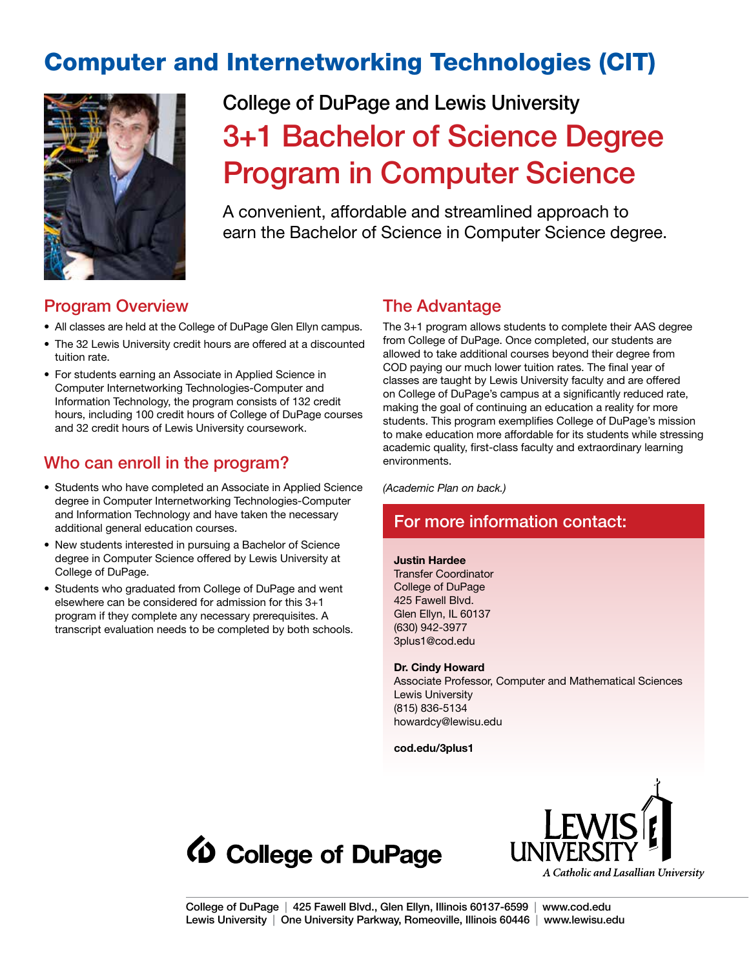# Computer and Internetworking Technologies (CIT)



# College of DuPage and Lewis University 3+1 Bachelor of Science Degree Program in Computer Science

A convenient, affordable and streamlined approach to earn the Bachelor of Science in Computer Science degree.

## Program Overview

- All classes are held at the College of DuPage Glen Ellyn campus.
- The 32 Lewis University credit hours are offered at a discounted tuition rate.
- For students earning an Associate in Applied Science in Computer Internetworking Technologies-Computer and Information Technology, the program consists of 132 credit hours, including 100 credit hours of College of DuPage courses and 32 credit hours of Lewis University coursework.

# Who can enroll in the program?

- Students who have completed an Associate in Applied Science degree in Computer Internetworking Technologies-Computer and Information Technology and have taken the necessary additional general education courses.
- New students interested in pursuing a Bachelor of Science degree in Computer Science offered by Lewis University at College of DuPage.
- Students who graduated from College of DuPage and went elsewhere can be considered for admission for this 3+1 program if they complete any necessary prerequisites. A transcript evaluation needs to be completed by both schools.

# The Advantage

The 3+1 program allows students to complete their AAS degree from College of DuPage. Once completed, our students are allowed to take additional courses beyond their degree from COD paying our much lower tuition rates. The final year of classes are taught by Lewis University faculty and are offered on College of DuPage's campus at a significantly reduced rate, making the goal of continuing an education a reality for more students. This program exemplifies College of DuPage's mission to make education more affordable for its students while stressing academic quality, first-class faculty and extraordinary learning environments.

*(Academic Plan on back.)*

# For more information contact:

### **Justin Hardee**

Transfer Coordinator College of DuPage 425 Fawell Blvd. Glen Ellyn, IL 60137 (630) 942-3977 3plus1@cod.edu

#### **Dr. Cindy Howard**

Associate Professor, Computer and Mathematical Sciences Lewis University (815) 836-5134 howardcy@lewisu.edu

**cod.edu/3plus1**



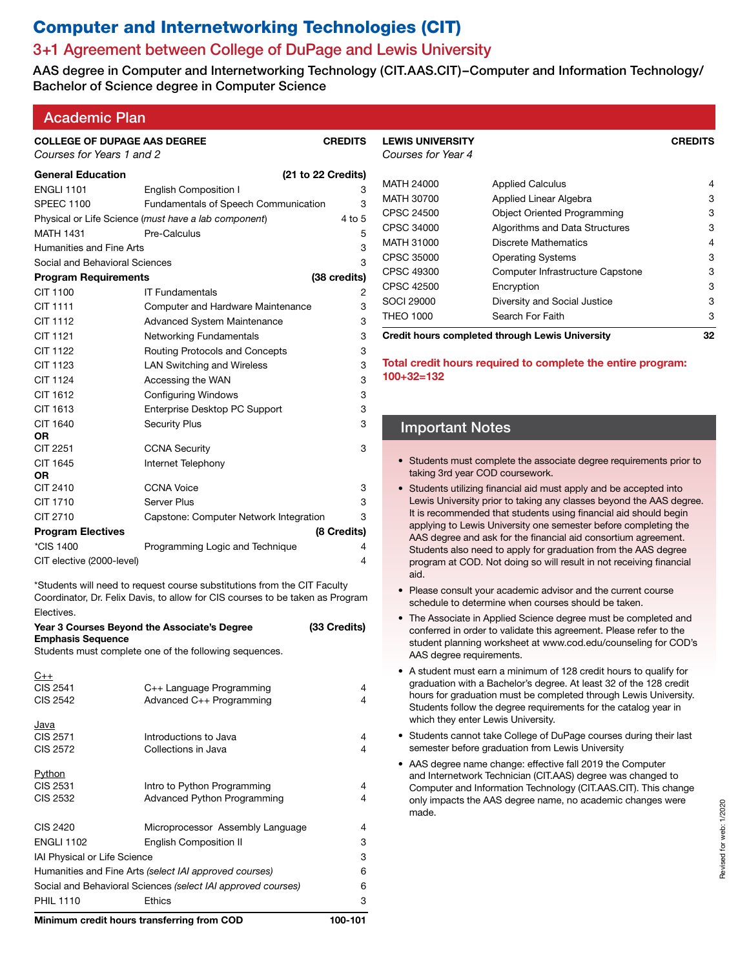# Computer and Internetworking Technologies (CIT)

# 3+1 Agreement between College of DuPage and Lewis University

AAS degree in Computer and Internetworking Technology (CIT.AAS.CIT)–Computer and Information Technology/ Bachelor of Science degree in Computer Science

| <b>Academic Plan</b> |  |
|----------------------|--|
|                      |  |

| <b>COLLEGE OF DUPAGE AAS DEGREE</b><br>Courses for Years 1 and 2 |                                                      | <b>CREDITS</b> |
|------------------------------------------------------------------|------------------------------------------------------|----------------|
| <b>General Education</b>                                         | (21 to 22 Credits)                                   |                |
| <b>ENGLI 1101</b>                                                | <b>English Composition I</b>                         | 3              |
| <b>SPEEC 1100</b>                                                | <b>Fundamentals of Speech Communication</b>          | 3              |
|                                                                  | Physical or Life Science (must have a lab component) | 4 to 5         |
| <b>MATH 1431</b>                                                 | Pre-Calculus                                         | 5              |
| Humanities and Fine Arts                                         |                                                      | 3              |
| Social and Behavioral Sciences                                   |                                                      | 3              |
| <b>Program Requirements</b>                                      |                                                      | (38 credits)   |
| CIT 1100                                                         | <b>IT Fundamentals</b>                               | 2              |
| <b>CIT 1111</b>                                                  | Computer and Hardware Maintenance                    | 3              |
| CIT 1112                                                         | <b>Advanced System Maintenance</b>                   | 3              |
| CIT 1121                                                         | <b>Networking Fundamentals</b>                       | 3              |
| <b>CIT 1122</b>                                                  | Routing Protocols and Concepts                       | 3              |
| CIT 1123                                                         | <b>LAN Switching and Wireless</b>                    | 3              |
| CIT 1124                                                         | Accessing the WAN                                    | 3              |
| CIT 1612                                                         | <b>Configuring Windows</b>                           | 3              |
| CIT 1613                                                         | Enterprise Desktop PC Support                        | 3              |
| CIT 1640<br>0R                                                   | <b>Security Plus</b>                                 | 3              |
| <b>CIT 2251</b>                                                  | <b>CCNA Security</b>                                 | 3              |
| CIT 1645<br>0R                                                   | Internet Telephony                                   |                |
| CIT 2410                                                         | <b>CCNA Voice</b>                                    | 3              |
| CIT 1710                                                         | Server Plus                                          | 3              |
| CIT 2710                                                         | Capstone: Computer Network Integration               | 3              |
| <b>Program Electives</b>                                         |                                                      | (8 Credits)    |
| *CIS 1400                                                        | Programming Logic and Technique                      | 4              |
| CIT elective (2000-level)                                        |                                                      | 4              |

\*Students will need to request course substitutions from the CIT Faculty Coordinator, Dr. Felix Davis, to allow for CIS courses to be taken as Program Electives.

| <b>Emphasis Sequence</b>                                     | Year 3 Courses Beyond the Associate's Degree                      | (33 Credits) |  |
|--------------------------------------------------------------|-------------------------------------------------------------------|--------------|--|
|                                                              | Students must complete one of the following sequences.            |              |  |
| $C++$<br>CIS 2541<br>CIS 2542                                | C++ Language Programming<br>Advanced C++ Programming              | 4<br>4       |  |
| Java<br>CIS 2571<br>CIS 2572                                 | Introductions to Java<br>Collections in Java                      | 4<br>4       |  |
| Python<br>CIS 2531<br>CIS 2532                               | Intro to Python Programming<br><b>Advanced Python Programming</b> | 4<br>4       |  |
| CIS 2420                                                     | Microprocessor Assembly Language                                  | 4            |  |
| <b>ENGLI 1102</b>                                            | <b>English Composition II</b>                                     | 3            |  |
| <b>IAI Physical or Life Science</b>                          |                                                                   |              |  |
| Humanities and Fine Arts (select IAI approved courses)       | 6                                                                 |              |  |
| Social and Behavioral Sciences (select IAI approved courses) | 6                                                                 |              |  |
| <b>PHIL 1110</b>                                             | <b>Ethics</b>                                                     | 3            |  |
| Minimum credit hours transferring from COD                   |                                                                   |              |  |

| <b>LEWIS UNIVERSITY</b><br>Courses for Year 4          |                                    | <b>CREDITS</b> |
|--------------------------------------------------------|------------------------------------|----------------|
| MATH 24000                                             | <b>Applied Calculus</b>            | 4              |
| MATH 30700                                             | Applied Linear Algebra             | 3              |
| CPSC 24500                                             | <b>Object Oriented Programming</b> | 3              |
| CPSC 34000                                             | Algorithms and Data Structures     | 3              |
| MATH 31000                                             | Discrete Mathematics               | 4              |
| CPSC 35000                                             | <b>Operating Systems</b>           | 3              |
| CPSC 49300                                             | Computer Infrastructure Capstone   | 3              |
| CPSC 42500                                             | Encryption                         | 3              |
| SOCI 29000                                             | Diversity and Social Justice       | 3              |
| <b>THEO 1000</b>                                       | Search For Faith                   | 3              |
| <b>Credit hours completed through Lewis University</b> | 32                                 |                |

**Total credit hours required to complete the entire program: 100+32=132**

### Important Notes

- Students must complete the associate degree requirements prior to taking 3rd year COD coursework.
- Students utilizing financial aid must apply and be accepted into Lewis University prior to taking any classes beyond the AAS degree. It is recommended that students using financial aid should begin applying to Lewis University one semester before completing the AAS degree and ask for the financial aid consortium agreement. Students also need to apply for graduation from the AAS degree program at COD. Not doing so will result in not receiving financial aid.
- Please consult your academic advisor and the current course schedule to determine when courses should be taken.
- The Associate in Applied Science degree must be completed and conferred in order to validate this agreement. Please refer to the student planning worksheet at www.cod.edu/counseling for COD's AAS degree requirements.
- A student must earn a minimum of 128 credit hours to qualify for graduation with a Bachelor's degree. At least 32 of the 128 credit hours for graduation must be completed through Lewis University. Students follow the degree requirements for the catalog year in which they enter Lewis University.
- Students cannot take College of DuPage courses during their last semester before graduation from Lewis University
- AAS degree name change: effective fall 2019 the Computer and Internetwork Technician (CIT.AAS) degree was changed to Computer and Information Technology (CIT.AAS.CIT). This change only impacts the AAS degree name, no academic changes were made.